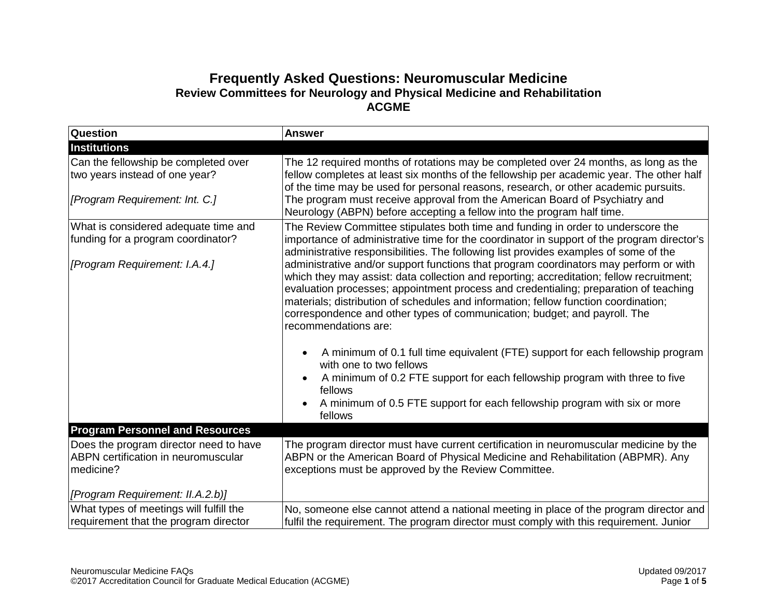## **Frequently Asked Questions: Neuromuscular Medicine Review Committees for Neurology and Physical Medicine and Rehabilitation ACGME**

| <b>Question</b>                                                                                          | <b>Answer</b>                                                                                                                                                                                                                                                                                                                                                                                                                                                         |
|----------------------------------------------------------------------------------------------------------|-----------------------------------------------------------------------------------------------------------------------------------------------------------------------------------------------------------------------------------------------------------------------------------------------------------------------------------------------------------------------------------------------------------------------------------------------------------------------|
| <b>Institutions</b>                                                                                      |                                                                                                                                                                                                                                                                                                                                                                                                                                                                       |
| Can the fellowship be completed over<br>two years instead of one year?<br>[Program Requirement: Int. C.] | The 12 required months of rotations may be completed over 24 months, as long as the<br>fellow completes at least six months of the fellowship per academic year. The other half<br>of the time may be used for personal reasons, research, or other academic pursuits.<br>The program must receive approval from the American Board of Psychiatry and                                                                                                                 |
|                                                                                                          | Neurology (ABPN) before accepting a fellow into the program half time.                                                                                                                                                                                                                                                                                                                                                                                                |
| What is considered adequate time and<br>funding for a program coordinator?                               | The Review Committee stipulates both time and funding in order to underscore the<br>importance of administrative time for the coordinator in support of the program director's<br>administrative responsibilities. The following list provides examples of some of the                                                                                                                                                                                                |
| [Program Requirement: I.A.4.]                                                                            | administrative and/or support functions that program coordinators may perform or with<br>which they may assist: data collection and reporting; accreditation; fellow recruitment;<br>evaluation processes; appointment process and credentialing; preparation of teaching<br>materials; distribution of schedules and information; fellow function coordination;<br>correspondence and other types of communication; budget; and payroll. The<br>recommendations are: |
|                                                                                                          | A minimum of 0.1 full time equivalent (FTE) support for each fellowship program<br>with one to two fellows                                                                                                                                                                                                                                                                                                                                                            |
|                                                                                                          | A minimum of 0.2 FTE support for each fellowship program with three to five<br>fellows                                                                                                                                                                                                                                                                                                                                                                                |
|                                                                                                          | A minimum of 0.5 FTE support for each fellowship program with six or more<br>fellows                                                                                                                                                                                                                                                                                                                                                                                  |
| <b>Program Personnel and Resources</b>                                                                   |                                                                                                                                                                                                                                                                                                                                                                                                                                                                       |
| Does the program director need to have<br>ABPN certification in neuromuscular<br>medicine?               | The program director must have current certification in neuromuscular medicine by the<br>ABPN or the American Board of Physical Medicine and Rehabilitation (ABPMR). Any<br>exceptions must be approved by the Review Committee.                                                                                                                                                                                                                                      |
| [Program Requirement: II.A.2.b)]                                                                         |                                                                                                                                                                                                                                                                                                                                                                                                                                                                       |
| What types of meetings will fulfill the<br>requirement that the program director                         | No, someone else cannot attend a national meeting in place of the program director and<br>fulfil the requirement. The program director must comply with this requirement. Junior                                                                                                                                                                                                                                                                                      |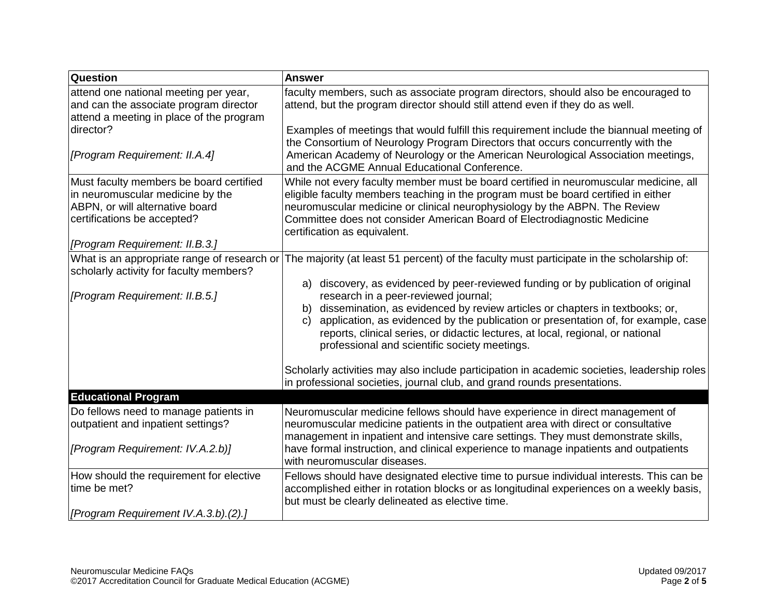| Question                                                                                                                                                                        | <b>Answer</b>                                                                                                                                                                                                                                                                                                                                                                                                                                      |
|---------------------------------------------------------------------------------------------------------------------------------------------------------------------------------|----------------------------------------------------------------------------------------------------------------------------------------------------------------------------------------------------------------------------------------------------------------------------------------------------------------------------------------------------------------------------------------------------------------------------------------------------|
| attend one national meeting per year,<br>and can the associate program director<br>attend a meeting in place of the program                                                     | faculty members, such as associate program directors, should also be encouraged to<br>attend, but the program director should still attend even if they do as well.                                                                                                                                                                                                                                                                                |
| director?<br>[Program Requirement: II.A.4]                                                                                                                                      | Examples of meetings that would fulfill this requirement include the biannual meeting of<br>the Consortium of Neurology Program Directors that occurs concurrently with the<br>American Academy of Neurology or the American Neurological Association meetings,                                                                                                                                                                                    |
|                                                                                                                                                                                 | and the ACGME Annual Educational Conference.                                                                                                                                                                                                                                                                                                                                                                                                       |
| Must faculty members be board certified<br>in neuromuscular medicine by the<br>ABPN, or will alternative board<br>certifications be accepted?<br>[Program Requirement: II.B.3.] | While not every faculty member must be board certified in neuromuscular medicine, all<br>eligible faculty members teaching in the program must be board certified in either<br>neuromuscular medicine or clinical neurophysiology by the ABPN. The Review<br>Committee does not consider American Board of Electrodiagnostic Medicine<br>certification as equivalent.                                                                              |
| What is an appropriate range of research or<br>scholarly activity for faculty members?                                                                                          | The majority (at least 51 percent) of the faculty must participate in the scholarship of:                                                                                                                                                                                                                                                                                                                                                          |
| [Program Requirement: II.B.5.]                                                                                                                                                  | discovery, as evidenced by peer-reviewed funding or by publication of original<br>a)<br>research in a peer-reviewed journal;<br>dissemination, as evidenced by review articles or chapters in textbooks; or,<br>b)<br>application, as evidenced by the publication or presentation of, for example, case<br>C)<br>reports, clinical series, or didactic lectures, at local, regional, or national<br>professional and scientific society meetings. |
|                                                                                                                                                                                 | Scholarly activities may also include participation in academic societies, leadership roles<br>in professional societies, journal club, and grand rounds presentations.                                                                                                                                                                                                                                                                            |
| <b>Educational Program</b>                                                                                                                                                      |                                                                                                                                                                                                                                                                                                                                                                                                                                                    |
| Do fellows need to manage patients in<br>outpatient and inpatient settings?                                                                                                     | Neuromuscular medicine fellows should have experience in direct management of<br>neuromuscular medicine patients in the outpatient area with direct or consultative<br>management in inpatient and intensive care settings. They must demonstrate skills,                                                                                                                                                                                          |
| [Program Requirement: IV.A.2.b)]                                                                                                                                                | have formal instruction, and clinical experience to manage inpatients and outpatients<br>with neuromuscular diseases.                                                                                                                                                                                                                                                                                                                              |
| How should the requirement for elective<br>time be met?                                                                                                                         | Fellows should have designated elective time to pursue individual interests. This can be<br>accomplished either in rotation blocks or as longitudinal experiences on a weekly basis,<br>but must be clearly delineated as elective time.                                                                                                                                                                                                           |
| [Program Requirement IV.A.3.b).(2).]                                                                                                                                            |                                                                                                                                                                                                                                                                                                                                                                                                                                                    |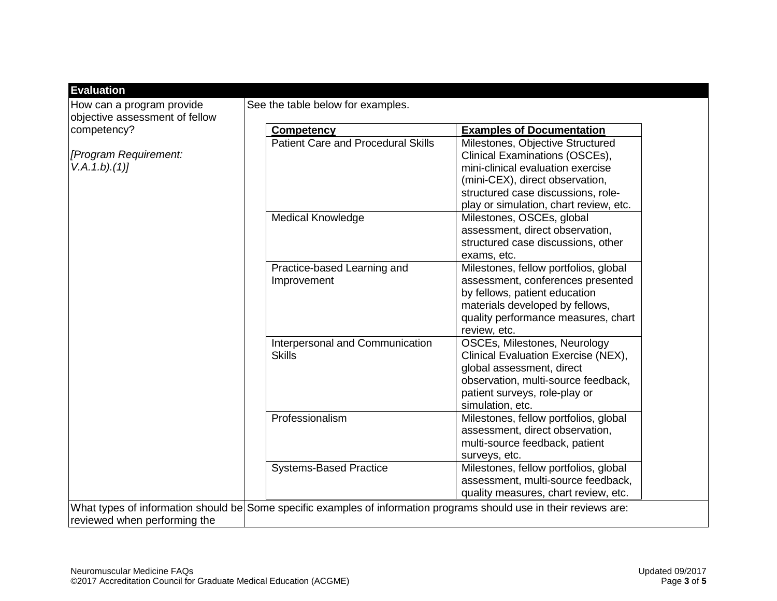| How can a program provide<br>objective assessment of fellow | See the table below for examples.         |                                        |
|-------------------------------------------------------------|-------------------------------------------|----------------------------------------|
| competency?                                                 | <b>Competency</b>                         | <b>Examples of Documentation</b>       |
|                                                             | <b>Patient Care and Procedural Skills</b> | Milestones, Objective Structured       |
| [Program Requirement:<br>V.A. 1.b. (1)]                     |                                           | Clinical Examinations (OSCEs),         |
|                                                             |                                           | mini-clinical evaluation exercise      |
|                                                             |                                           | (mini-CEX), direct observation,        |
|                                                             |                                           | structured case discussions, role-     |
|                                                             |                                           | play or simulation, chart review, etc. |
|                                                             | <b>Medical Knowledge</b>                  | Milestones, OSCEs, global              |
|                                                             |                                           | assessment, direct observation,        |
|                                                             |                                           | structured case discussions, other     |
|                                                             |                                           | exams, etc.                            |
|                                                             | Practice-based Learning and               | Milestones, fellow portfolios, global  |
|                                                             | Improvement                               | assessment, conferences presented      |
|                                                             |                                           | by fellows, patient education          |
|                                                             |                                           | materials developed by fellows,        |
|                                                             |                                           | quality performance measures, chart    |
|                                                             |                                           | review, etc.                           |
|                                                             | Interpersonal and Communication           | OSCEs, Milestones, Neurology           |
|                                                             | <b>Skills</b>                             | Clinical Evaluation Exercise (NEX),    |
|                                                             |                                           | global assessment, direct              |
|                                                             |                                           | observation, multi-source feedback,    |
|                                                             |                                           | patient surveys, role-play or          |
|                                                             |                                           | simulation, etc.                       |
|                                                             | Professionalism                           | Milestones, fellow portfolios, global  |
|                                                             |                                           | assessment, direct observation,        |
|                                                             |                                           | multi-source feedback, patient         |
|                                                             |                                           | surveys, etc.                          |
|                                                             | <b>Systems-Based Practice</b>             | Milestones, fellow portfolios, global  |
|                                                             |                                           | assessment, multi-source feedback,     |
|                                                             |                                           | quality measures, chart review, etc.   |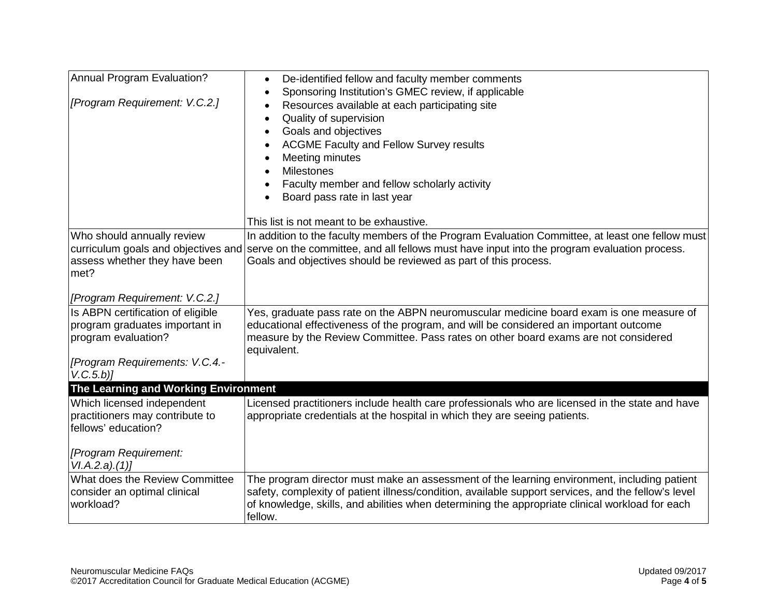| Annual Program Evaluation?<br>[Program Requirement: V.C.2.]                                                                             | De-identified fellow and faculty member comments<br>$\bullet$<br>Sponsoring Institution's GMEC review, if applicable<br>$\bullet$<br>Resources available at each participating site<br>٠<br>Quality of supervision<br>$\bullet$<br>Goals and objectives<br>$\bullet$<br><b>ACGME Faculty and Fellow Survey results</b><br>Meeting minutes<br><b>Milestones</b><br>Faculty member and fellow scholarly activity<br>Board pass rate in last year |
|-----------------------------------------------------------------------------------------------------------------------------------------|------------------------------------------------------------------------------------------------------------------------------------------------------------------------------------------------------------------------------------------------------------------------------------------------------------------------------------------------------------------------------------------------------------------------------------------------|
|                                                                                                                                         | This list is not meant to be exhaustive.                                                                                                                                                                                                                                                                                                                                                                                                       |
| Who should annually review<br>assess whether they have been<br>met?                                                                     | In addition to the faculty members of the Program Evaluation Committee, at least one fellow must<br>curriculum goals and objectives and serve on the committee, and all fellows must have input into the program evaluation process.<br>Goals and objectives should be reviewed as part of this process.                                                                                                                                       |
| [Program Requirement: V.C.2.]                                                                                                           |                                                                                                                                                                                                                                                                                                                                                                                                                                                |
| Is ABPN certification of eligible<br>program graduates important in<br>program evaluation?<br>[Program Requirements: V.C.4.-<br>V.C.5.b | Yes, graduate pass rate on the ABPN neuromuscular medicine board exam is one measure of<br>educational effectiveness of the program, and will be considered an important outcome<br>measure by the Review Committee. Pass rates on other board exams are not considered<br>equivalent.                                                                                                                                                         |
| The Learning and Working Environment                                                                                                    |                                                                                                                                                                                                                                                                                                                                                                                                                                                |
| Which licensed independent<br>practitioners may contribute to<br>fellows' education?                                                    | Licensed practitioners include health care professionals who are licensed in the state and have<br>appropriate credentials at the hospital in which they are seeing patients.                                                                                                                                                                                                                                                                  |
| [Program Requirement:<br>VI.A.2.a)(1)]                                                                                                  |                                                                                                                                                                                                                                                                                                                                                                                                                                                |
| What does the Review Committee<br>consider an optimal clinical<br>workload?                                                             | The program director must make an assessment of the learning environment, including patient<br>safety, complexity of patient illness/condition, available support services, and the fellow's level<br>of knowledge, skills, and abilities when determining the appropriate clinical workload for each<br>fellow.                                                                                                                               |